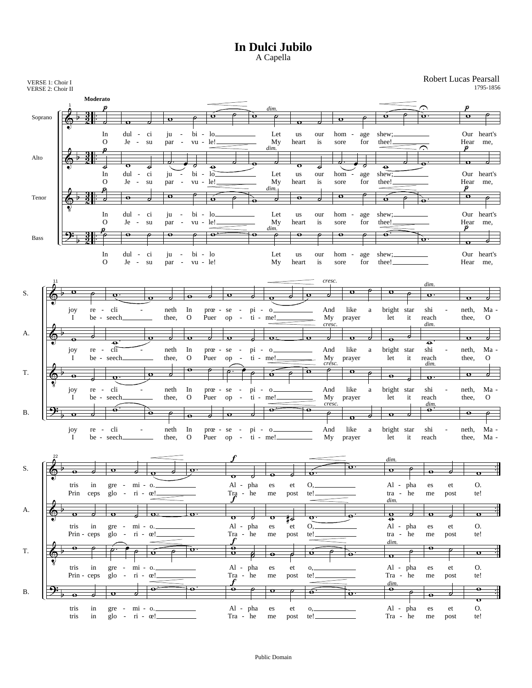## **In Dulci Jubilo** A Capella

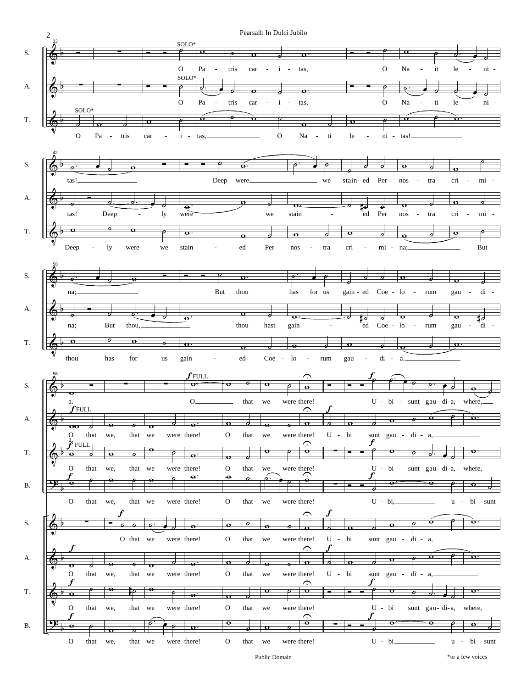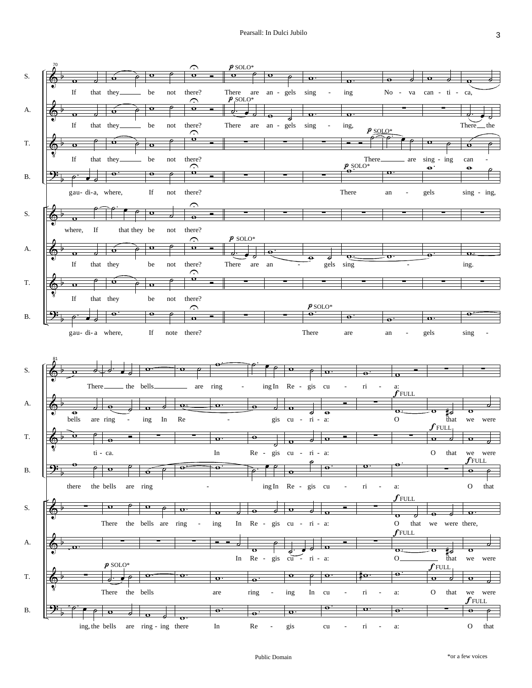